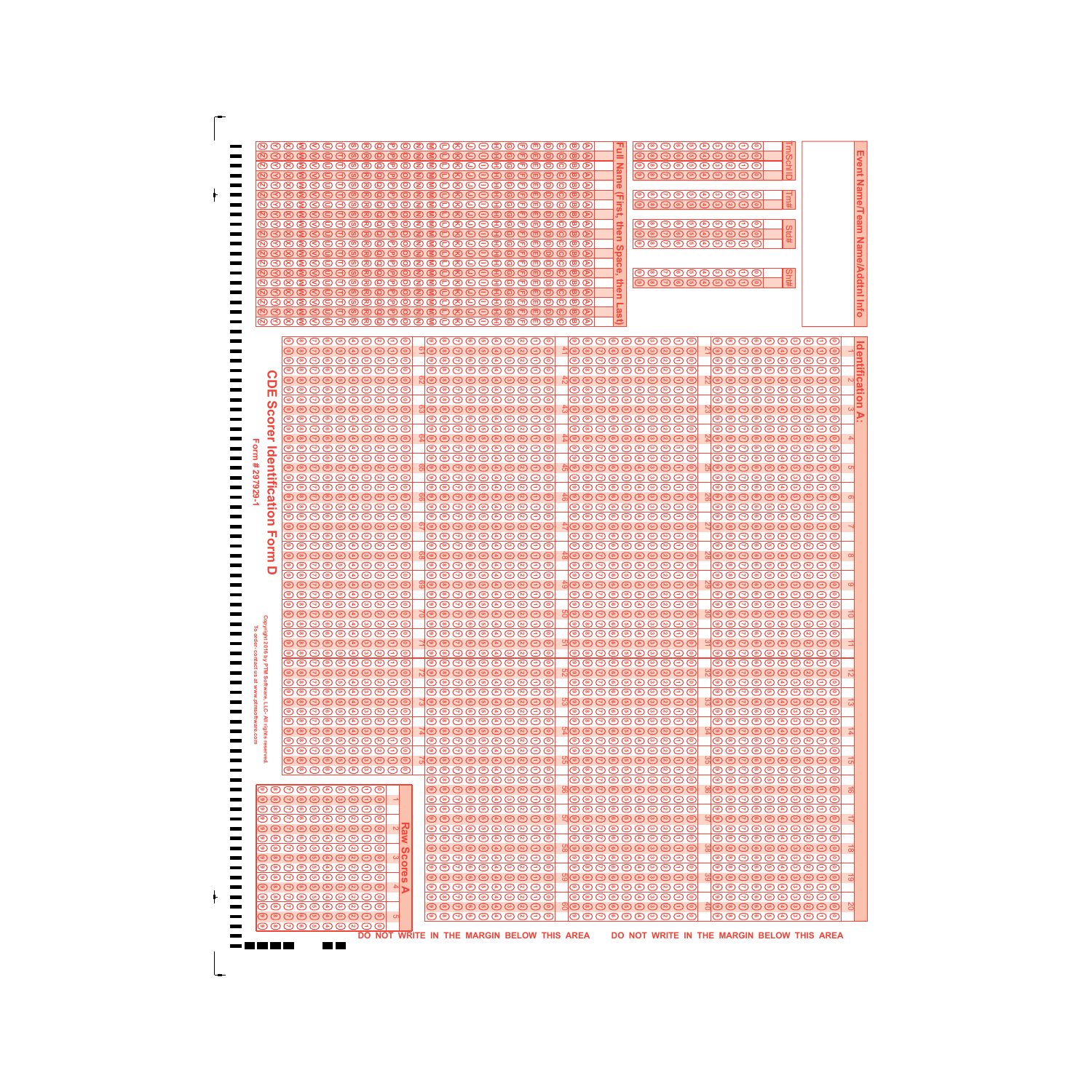|                                                                                                                                                                                                                                                                                                                                                                                                                                                                                                                                                                                                                                                                                                                                                                                                                                                                                                                                                                                                                                                                                                                                                                                                                                                                                                                                                                                                                                                                                                                                                                                                                                                                                                                                                                                                                                                                                                                                                                                                                                                                                                                                                                                                                                                                                                                                                                                                                                                                                                                                                                                                                                                                                                                                                                                                                                                                                                                                                                                                                                                                                                                                                                                                                                                                                                                                                                                                                                                                                                                                                                                                                                                                                                                                                                                                                                                                                                                                                                                                                                                                                                                                                                                                                                                                                                                                                                                                                                                                                                                                                                                                                                                                                                                                                                                                                                                                                                                                                                                                                                                                                                                                                                                                                                                                                                                                                                                                                                                                                                                                                                                                                                                                                                                                                                                                                                                                                                                                                                                                                                                                                                                                                                                                                                                                                                                                                                                                                                                                                                                                       | @888668@@@@@@886868@@@@@@@<br>@6886680@@@@@8\$C8668@@@@@@@<br>@6888660@@@@@8868668@@@@@@@<br>@888868@@@@@@8\$6868@@@@@@@<br>@8888680@@@@@8808689@@@@@@@<br>@6886680@@@@@8\$C866B@@@@@@@<br>@6888660@@@@@8868668@@@@@@@<br>@688668@@@@@@8\$C866B@@@@@@@<br>@688668@@@@@@8\$0866@@@@@@@@<br>0000000000000000000000000000                                                                                                                                                                                                                                                                                                                                                                                                                                                                                                                                                                                                                                                                                                                                                                                                                                                                                                                                                                                                                                                                                                                                                                                                                                                                                                                                                   | ◎◎⊙◎◎◎◎◎◎○○<br>₫<br>◎ ◎ ④ ◎ ◎ ④ ◎ ® ◎ ⊙ ◎<br><b>Nam</b><br>◎ ◎ ☉ ◎ ◎ ◎ ◎ ◎ ◎ ◎ ◎ ◎<br>じののののののののの<br>$\bar{\mathbf{o}}$<br>ਜ਼<br>じのののののののの<br>◎ ◎ ④ ◎ ◎ ④ ◎ ® ◎ ⊙ ◎<br>5<br>しっつのののののつの<br>then<br>◎ ◎ ⊙ ◎ ◎ ◎ ◎ ◎ ◎ ⊙ ◎ ◎<br>◎ ◎ ⊙ ◎ ◎ ◎ ◎ ◎ ◎ ⊙ ⊙ ◎<br>ဖ<br>pace<br>◎ ◎ ③ ◎ ◎ ④ ◎ ◎ ◎ ○ ◎<br>then<br>◎◎⊙◎◎◎◎◎◎○○<br>Last                                                                                                                                                                                                                                                                                                                                                                                                                                                                                                                                                                                                                                                                                                                                                                                                                                                                                                                                                                                                                                                                                                                                                                                                                                                                                                                                                                                                                                                                                                                                                                                                                                                                                                                                                                                                                                                                                                                                                                                                                                                                                                                                                                                                                                                                                                                                                                                                                                                          | Event Name/Team Name/Addtnl Info<br>#pis                                                                                                                                                                                                                                                                                                                                                                                                                                                                                                                                                                                                                                                                                                                                                                                                                                                                                                                                                                                                                                                                                                                                                                                                                                                                                                                                                                                                                                                                                                                                                                                                                                                                                                                        |
|---------------------------------------------------------------------------------------------------------------------------------------------------------------------------------------------------------------------------------------------------------------------------------------------------------------------------------------------------------------------------------------------------------------------------------------------------------------------------------------------------------------------------------------------------------------------------------------------------------------------------------------------------------------------------------------------------------------------------------------------------------------------------------------------------------------------------------------------------------------------------------------------------------------------------------------------------------------------------------------------------------------------------------------------------------------------------------------------------------------------------------------------------------------------------------------------------------------------------------------------------------------------------------------------------------------------------------------------------------------------------------------------------------------------------------------------------------------------------------------------------------------------------------------------------------------------------------------------------------------------------------------------------------------------------------------------------------------------------------------------------------------------------------------------------------------------------------------------------------------------------------------------------------------------------------------------------------------------------------------------------------------------------------------------------------------------------------------------------------------------------------------------------------------------------------------------------------------------------------------------------------------------------------------------------------------------------------------------------------------------------------------------------------------------------------------------------------------------------------------------------------------------------------------------------------------------------------------------------------------------------------------------------------------------------------------------------------------------------------------------------------------------------------------------------------------------------------------------------------------------------------------------------------------------------------------------------------------------------------------------------------------------------------------------------------------------------------------------------------------------------------------------------------------------------------------------------------------------------------------------------------------------------------------------------------------------------------------------------------------------------------------------------------------------------------------------------------------------------------------------------------------------------------------------------------------------------------------------------------------------------------------------------------------------------------------------------------------------------------------------------------------------------------------------------------------------------------------------------------------------------------------------------------------------------------------------------------------------------------------------------------------------------------------------------------------------------------------------------------------------------------------------------------------------------------------------------------------------------------------------------------------------------------------------------------------------------------------------------------------------------------------------------------------------------------------------------------------------------------------------------------------------------------------------------------------------------------------------------------------------------------------------------------------------------------------------------------------------------------------------------------------------------------------------------------------------------------------------------------------------------------------------------------------------------------------------------------------------------------------------------------------------------------------------------------------------------------------------------------------------------------------------------------------------------------------------------------------------------------------------------------------------------------------------------------------------------------------------------------------------------------------------------------------------------------------------------------------------------------------------------------------------------------------------------------------------------------------------------------------------------------------------------------------------------------------------------------------------------------------------------------------------------------------------------------------------------------------------------------------------------------------------------------------------------------------------------------------------------------------------------------------------------------------------------------------------------------------------------------------------------------------------------------------------------------------------------------------------------------------------------------------------------------------------------------------------------------------------------------------------------------------------------------------------------------------------------------------------------------------------------------------------------------------|--------------------------------------------------------------------------------------------------------------------------------------------------------------------------------------------------------------------------------------------------------------------------------------------------------------------------------------------------------------------------------------------------------------------------------------------------------------------------------------------------------------------------------------------------------------------------------------------------------------------------------------------------------------------------------------------------------------------------------------------------------------------------------------------------------------------------------------------------------------------------------------------------------------------------------------------------------------------------------------------------------------------------------------------------------------------------------------------------------------------------------------------------------------------------------------------------------------------------------------------------------------------------------------------------------------------------------------------------------------------------------------------------------------------------------------------------------------------------------------------------------------------------------------------------------------------------------------------------------------------------------------------------------------------------|-----------------------------------------------------------------------------------------------------------------------------------------------------------------------------------------------------------------------------------------------------------------------------------------------------------------------------------------------------------------------------------------------------------------------------------------------------------------------------------------------------------------------------------------------------------------------------------------------------------------------------------------------------------------------------------------------------------------------------------------------------------------------------------------------------------------------------------------------------------------------------------------------------------------------------------------------------------------------------------------------------------------------------------------------------------------------------------------------------------------------------------------------------------------------------------------------------------------------------------------------------------------------------------------------------------------------------------------------------------------------------------------------------------------------------------------------------------------------------------------------------------------------------------------------------------------------------------------------------------------------------------------------------------------------------------------------------------------------------------------------------------------------------------------------------------------------------------------------------------------------------------------------------------------------------------------------------------------------------------------------------------------------------------------------------------------------------------------------------------------------------------------------------------------------------------------------------------------------------------------------------------------------------------------------------------------------------------------------------------------------------------------------------------------------------------------------------------------------------------------------------------------------------------------------------------------------------------------------------------------------------------------------------------------------------------------------------------------------------------------------------------------------------------|-----------------------------------------------------------------------------------------------------------------------------------------------------------------------------------------------------------------------------------------------------------------------------------------------------------------------------------------------------------------------------------------------------------------------------------------------------------------------------------------------------------------------------------------------------------------------------------------------------------------------------------------------------------------------------------------------------------------------------------------------------------------------------------------------------------------------------------------------------------------------------------------------------------------------------------------------------------------------------------------------------------------------------------------------------------------------------------------------------------------------------------------------------------------------------------------------------------------------------------------------------------------------------------------------------------------------------------------------------------------------------------------------------------------------------------------------------------------------------------------------------------------------------------------------------------------------------------------------------------------------------------------------------------------------------------------------------------------------------------------------------------------|
| $\textcircled{\circ}$ $\textcircled{\circ}$ $\textcircled{\circ}$ $\textcircled{\circ}$ $\textcircled{\circ}$<br>${}^{\tiny\textcircled{\tiny{\#}}}\mathbb{O} \oplus {}^{\tiny\textcircled{\tiny{\tiny{\#}}}}\mathbb{O} \oplus {}^{\tiny\textcircled{\tiny{\tiny{\#}}}}\mathbb{O} \oplus {}^{\tiny\textcircled{\tiny{\tiny{\#}}}}\mathbb{O} \oplus {}^{\tiny\textcircled{\tiny{\tiny{\#}}}}\mathbb{O}$<br>しっつのののののつの<br>G<br>C<br>${}^{\tiny\textcircled{\tiny{\#}}}\mathbb{O} \oplus {}^{\tiny\textcircled{\tiny{\tiny{\#}}}}\mathbb{O} \oplus {}^{\tiny\textcircled{\tiny{\tiny{\#}}}}\mathbb{O} \oplus {}^{\tiny\textcircled{\tiny{\tiny{\#}}}}\mathbb{O} \oplus {}^{\tiny\textcircled{\tiny{\tiny{\#}}}}\mathbb{O}$<br>ш<br>${}^{\tiny\textcircled{\tiny{\#}}}\mathbb{O} \oplus {}^{\tiny\textcircled{\tiny{\tiny{\#}}}}\mathbb{O} \oplus {}^{\tiny\textcircled{\tiny{\tiny{\#}}}}\mathbb{O} \oplus {}^{\tiny\textcircled{\tiny{\tiny{\#}}}}\mathbb{O} \oplus {}^{\tiny\textcircled{\tiny{\tiny{\#}}}}\mathbb{O}$<br><u> (၇</u><br>$\underbrace{\circ\circ\circ\circ\circ\circ\circ\circ\circ\circ\circ}$<br>corer<br>${}^{\tiny\textcircled{\tiny{\#}}}\mathbb{O} \oplus {}^{\tiny\textcircled{\tiny{\tiny{\#}}}}\mathbb{O} \oplus {}^{\tiny\textcircled{\tiny{\tiny{\#}}}}\mathbb{O} \oplus {}^{\tiny\textcircled{\tiny{\tiny{\#}}}}\mathbb{O} \oplus {}^{\tiny\textcircled{\tiny{\tiny{\#}}}}\mathbb{O} \oplus {}^{\tiny\textcircled{\tiny{\tiny{\#}}}}\mathbb{O}$<br>しっつのののののつの<br>$\underbrace{\circ\circ\circ\circ\circ\circ\circ\circ\circ\circ\circ\circ}$<br>arm<br>$\underbrace{\raisebox{1.5pt}{\textcirc}}\raisebox{1.5pt}{\textcircled{\textcirc}}} \raisebox{1.5pt}{\textcircled{\textcirc}}\raisebox{1.5pt}{\textcircled{\textcirc}}\raisebox{1.5pt}{\textcircled{\textcirc}}\raisebox{1.5pt}{\textcircled{\textcirc}}\raisebox{1.5pt}{\textcircled{\textcirc}}\raisebox{1.5pt}{\textcircled{\textcirc}}\raisebox{1.5pt}{\textcircled{\textcirc}}\raisebox{1.5pt}{\textcircled{\textcirc}}\raisebox{1.5pt}{\textcircled{\textcirc}}\raisebox{1.5pt}{\textcircled{\textcirc}}\raisebox{1.5pt}{\textcircled{\textcirc}}$<br><b>Identification</b><br>しっつのののののの<br>#<br>$\textcircled{\footnotesize{}} \textcircled{\footnotesize{}} \textcircled{\footnotesize{}} \textcircled{\footnotesize{}} \textcircled{\footnotesize{}} \textcircled{\footnotesize{}} \textcircled{\footnotesize{}} \textcircled{\footnotesize{}}$<br>297929-<br>${}^{\tiny\textcircled{\tiny{\#}}}\mathbb{O} \oplus {}^{\tiny\textcircled{\tiny{\tiny{\#}}}}\mathbb{O} \oplus {}^{\tiny\textcircled{\tiny{\tiny{\#}}}}\mathbb{O} \oplus {}^{\tiny\textcircled{\tiny{\tiny{\#}}}}\mathbb{O} \oplus {}^{\tiny\textcircled{\tiny{\tiny{\#}}}}\mathbb{O}$<br>しっつのののののつの<br>$\underbrace{\circ\circ\circ\circ\circ\circ\circ\circ\circ\circ\circ\circ}$<br>$\textcircled{\circ} \textcircled{\circ} \textcirc \textcircled{\circ} \textcirc \textcirc \textcirc$<br>しっつのののののの<br>m<br>${}^{\tiny\textcircled{\tiny{\#}}}\mathbb{O} \oplus {}^{\tiny\textcircled{\tiny{\tiny{\#}}}}\mathbb{O} \oplus {}^{\tiny\textcircled{\tiny{\tiny{\#}}}}\mathbb{O} \oplus {}^{\tiny\textcircled{\tiny{\tiny{\#}}}}\mathbb{O} \oplus {}^{\tiny\textcircled{\tiny{\tiny{\#}}}}\mathbb{O}$<br>orm<br>じっつのののののつの<br>$\circledcirc \circledcirc \circledcirc \circledcirc \circledcirc$<br>じっつのののののつ<br>Ō<br><u> මෙග මෙල මෙල ල</u><br>$\underbrace{\circledcirc\circledcirc\circledcirc\circledcirc\circ}$<br>$\textcircled{\circ} \textcircled{\circ} \textcirc \textcircled{\circ} \textcirc \textcirc \textcirc$<br>じっつのののののつの<br>$\textcircled{\footnotesize{}} \textcircled{\footnotesize{}} \textcircled{\footnotesize{}} \textcircled{\footnotesize{}} \textcircled{\footnotesize{}} \textcircled{\footnotesize{}} \textcircled{\footnotesize{}} \textcircled{\footnotesize{}} \textcircled{\footnotesize{}} \textcircled{\footnotesize{}} \textcircled{\footnotesize{}}$<br>opyright 2016 by PTM Software, LLC- All rights reserved<br>じっつのののののつの<br>しっつののののののの<br>しっつのののののつの<br>${}^{\tiny\textcircled{\tiny{\#}}}\mathbb{O} \oplus {}^{\tiny\textcircled{\tiny{\tiny{\#}}}}\mathbb{O} \oplus {}^{\tiny\textcircled{\tiny{\tiny{\#}}}}\mathbb{O} \oplus {}^{\tiny\textcircled{\tiny{\tiny{\#}}}}\mathbb{O} \oplus {}^{\tiny\textcircled{\tiny{\tiny{\#}}}}\mathbb{O}$<br>$\underbrace{\raisebox{12pt}{$\scriptstyle\odot$}}\oplus\oplus\oplus\oplus\oplus\oplus\oplus\oplus$<br>$\underbrace{\raisebox{1.5pt}{\textcirc}}\raisebox{1.5pt}{\textcircled{\raisebox{1.5pt}{\scriptsize$\bullet$}}} \raisebox{1.5pt}{\textcircled{\raisebox{1.5pt}{\scriptsize$\bullet$}}} \raisebox{1.5pt}{\textcircled{\raisebox{1.5pt}{\scriptsize$\bullet$}}} \raisebox{1.5pt}{\textcircled{\raisebox{1.5pt}{\scriptsize$\bullet$}}} \raisebox{1.5pt}{\textcircled{\raisebox{1.5pt}{\scriptsize$\bullet$}}} \raisebox{1.5pt}{\textcircled{\raisebox{1.5pt}{\scriptsize$\bullet$}}} \raisebox{1.5pt}{\textcircled{\raisebox{1.5pt}{\scriptsize$\bullet$}}} \$<br>$\textcircled{\small{\LARGE{}}\circ \textcircled{\small{\LARGE{}}\circ \textcircled{\small{\LARGE{}}\circ \textcircled{\small{\LARGE{}}\circ \textcircled{\small{\LARGE{}}\circ \textcircled{\small{\LARGE{}}\circ \textcircled{\small{\LARGE{}}\circ \textcircled{\small{\LARGE{}}\circ \textcircled{\small{\LARGE{}}\circ \textcircled{\small{\LARGE{}}\circ \textcircled{\small{\LARGE{}}\circ \textcircled{\small{\LARGE{}}\circ \textcircled{\small{\LARGE{}}\circ \textcircled{\cal{R}}\circ \textcircled{\cal{R}}\circ \textcircled{\small{\LARGE{}}\circ \textcircled{\cal{R}}\circ \textcircled{\$<br>${}^{\tiny\textcircled{\tiny{\#}}}\mathbb{O} \oplus {}^{\tiny\textcircled{\tiny{\tiny{\#}}}}\mathbb{O} \oplus {}^{\tiny\textcircled{\tiny{\tiny{\#}}}}\mathbb{O} \oplus {}^{\tiny\textcircled{\tiny{\tiny{\#}}}}\mathbb{O} \oplus {}^{\tiny\textcircled{\tiny{\tiny{\#}}}}\mathbb{O}$<br>${}^{{\small\textcircled{\tiny{P}}}}$ ${}^{{\small\textcircled{\tiny{P}}}}$ ${}^{{\small\textcircled{\tiny{P}}}}$ ${}^{{\small\textcircled{\tiny{P}}}}$ ${}^{{\small\textcircled{\tiny{P}}}}$ ${}^{{\small\textcircled{\tiny{P}}}}$ ${}^{{\small\textcircled{\tiny{P}}}}$ ${}^{{\small\textcircled{\tiny{P}}}}$<br>$\textcircled{\footnotesize{}} \textcircled{\footnotesize{}} \textcircled{\footnotesize{}} \textcircled{\footnotesize{}} \textcircled{\footnotesize{}} \textcircled{\footnotesize{}} \textcircled{\footnotesize{}} \textcircled{\footnotesize{}} \textcircled{\footnotesize{}}$ | 30000000000<br>じっつのののののつ<br>じののののののののの<br>じっつのののののつ<br>しっつのののののつ<br><u> 29 9 9 9 9 9 9 9 9 9 9 9 </u><br>$\textcircled{\circ} \textcircled{\circ} \textcirc \textcircled{\circ} \textcirc \textcirc \textcirc$<br>じののののののののの<br>☆◎◎⊙◎◎◎◎◎◎○○◎<br>じののののものののの<br>しっつのののののつ<br>じっつのののののつ<br>しっつのののののつの<br>じののののものののの<br>しっつのののののつ<br><u> 30000000000</u><br>じっつのののののつ<br>しっつのののののつの<br>80000000000<br>しっつのののののつ<br>80000000000<br>しっつののもののつの<br><b>GOOOOOOOOOO</b><br>じのののののののの<br>$  \text{\textcircled{\char'42}} \oplus$ $\text{\textcircled{\char'44}} \oplus$ $\text{\textcircled{\char'44}} \oplus$<br>しっつのののののつの<br>$  \textcolor{red}{\mathbf{\textcirc}} \textcolor{blue}{\mathbf{\textcirc}} \textcolor{blue}{\mathbf{\textcirc}} \textcolor{blue}{\mathbf{\textcirc}}$<br>$\circledcirc\circledcirc\circledcirc\circledcirc\circ$<br><b>GOOOOOOOOOO</b><br>しっつのののののつの<br>෦෧෧෧෧෧෧෧෧෧෧<br>しっつのののののつ<br>しっつのののののつ<br><u>yoooooooooo</u>                                                                                                                                                                                                                                                                                                                                                                                                                                                                                                                                                                                                                                                                                                                             | じののののののののの<br>やのののののののの世<br>${}^{{}^{\tiny{\textcirc}}}$ ${}^{\tiny{\textcirc}}$ ${}^{\tiny{\textcirc}}$ ${}^{\tiny{\textcirc}}$ ${}^{\tiny{\textcirc}}$ ${}^{\tiny{\textcirc}}$ ${}^{\tiny{\textcirc}}$ ${}^{\tiny{\textcirc}}$ ${}^{\tiny{\textcirc}}$ ${}^{\tiny{\textcirc}}$ ${}^{\tiny{\textcirc}}$ ${}^{\tiny{\textcirc}}$ ${}^{\tiny{\textcirc}}$ ${}^{\tiny{\textcirc}}$ ${}^{\tiny{\textcirc}}$ ${}^{\tiny{\textcirc}}$ ${}^{\tiny{\textcirc}}$ ${}^{\tiny{\textcirc}}$ ${}^{\tiny{\textcirc}}$ ${}^{\tiny{\textcirc}}$<br>しっつのののののつの<br><u>₩©©⊙©©©©©⊙©</u><br>$\textcircled{\circ} \textcircled{\circ} \textcirc \textcircled{\circ} \textcircled{\circ} \textcirc \textcirc$<br>しっつのののののつ<br>₩©©⊙©©©©©©©<br>じっつのののののつ<br>じっつのののののつの<br>$\underbrace{\raisebox{1.5pt}{\textcirc}}\raisebox{1.5pt}{\textcircled{\textcirc}}} \raisebox{1.5pt}{\textcircled{\textcirc}}\raisebox{1.5pt}{\textcircled{\textcirc}}\raisebox{1.5pt}{\textcircled{\textcirc}}\raisebox{1.5pt}{\textcircled{\textcirc}}\raisebox{1.5pt}{\textcircled{\textcirc}}\raisebox{1.5pt}{\textcircled{\textcirc}}\raisebox{1.5pt}{\textcircled{\textcirc}}\raisebox{1.5pt}{\textcircled{\textcirc}}\raisebox{1.5pt}{\textcircled{\textcirc}}\raisebox{1.5pt}{\textcircled{\textcirc}}\raisebox{1.5pt}{\textcircled{\textcirc}}$<br>しっつのののののつ<br><u>₩©©⊙©©©©©©©</u><br>${}^{{}^{\tiny{\textcirc}}}$ ${}^{\tiny{\textcirc}}$ ${}^{\tiny{\textcirc}}$ ${}^{\tiny{\textcirc}}$ ${}^{\tiny{\textcirc}}$ ${}^{\tiny{\textcirc}}$ ${}^{\tiny{\textcirc}}$ ${}^{\tiny{\textcirc}}$ ${}^{\tiny{\textcirc}}$ ${}^{\tiny{\textcirc}}$ ${}^{\tiny{\textcirc}}$ ${}^{\tiny{\textcirc}}$ ${}^{\tiny{\textcirc}}$ ${}^{\tiny{\textcirc}}$ ${}^{\tiny{\textcirc}}$ ${}^{\tiny{\textcirc}}$ ${}^{\tiny{\textcirc}}$ ${}^{\tiny{\textcirc}}$ ${}^{\tiny{\textcirc}}$ ${}^{\tiny{\textcirc}}$<br>しっつのののののつ<br>◎ ◎ ◎ ◎ ◎ ◎ ◎ ◎ ◎ ◎ ◎<br>しっつのののののつ<br>せのののののののののの<br>じっつのののののつ<br>しっつのののののつ<br><u> 20000000000</u><br>じっつのののののつ<br>しっつのののののつ<br><u>₩©©⊙©©©©©©©</u><br>${}^{{}^{\tiny{\textcirc}}}$ ${}^{\tiny{\textcirc}}$ ${}^{\tiny{\textcirc}}$ ${}^{\tiny{\textcirc}}$ ${}^{\tiny{\textcirc}}$ ${}^{\tiny{\textcirc}}$ ${}^{\tiny{\textcirc}}$ ${}^{\tiny{\textcirc}}$ ${}^{\tiny{\textcirc}}$ ${}^{\tiny{\textcirc}}$ ${}^{\tiny{\textcirc}}$ ${}^{\tiny{\textcirc}}$ ${}^{\tiny{\textcirc}}$ ${}^{\tiny{\textcirc}}$ ${}^{\tiny{\textcirc}}$ ${}^{\tiny{\textcirc}}$ ${}^{\tiny{\textcirc}}$ ${}^{\tiny{\textcirc}}$ ${}^{\tiny{\textcirc}}$ ${}^{\tiny{\textcirc}}$<br>80000000000<br>◎ ◎ ◎ ◎ ◎ ◎ ◎ ◎ ◎ ◎ ◎<br>しっつのののののつの<br>50000000000<br>89999999999<br>◎ ◎ ◎ ◎ ◎ ◎ ◎ ◎ ◎ ◎ ◎<br>89999999999<br><b>ECOOOOOOOOOO</b><br>$\underbrace{\circledcirc\circledcirc\circledcirc\circledcirc\circ}$<br><u>yoooooooooo</u> | しっつのののののつの<br>ldel<br><b>29999999982</b><br>Š.<br>$\textcircled{\circ} \textcircled{\circ} \textcirc \textcircled{\circ} \textcirc \textcirc \textcirc$<br>じっつのののののつの<br><b>20000000000</b><br>${}^{{}^{\tiny{\textcirc}}}$ ${}^{\tiny{\textcirc}}$ ${}^{\tiny{\textcirc}}$ ${}^{\tiny{\textcirc}}$ ${}^{\tiny{\textcirc}}$ ${}^{\tiny{\textcirc}}$ ${}^{\tiny{\textcirc}}$ ${}^{\tiny{\textcirc}}$ ${}^{\tiny{\textcirc}}$ ${}^{\tiny{\textcirc}}$ ${}^{\tiny{\textcirc}}$ ${}^{\tiny{\textcirc}}$ ${}^{\tiny{\textcirc}}$ ${}^{\tiny{\textcirc}}$ ${}^{\tiny{\textcirc}}$ ${}^{\tiny{\textcirc}}$ ${}^{\tiny{\textcirc}}$ ${}^{\tiny{\textcirc}}$ ${}^{\tiny{\textcirc}}$ ${}^{\tiny{\textcirc}}$<br>しっつのののののつの<br><b>ROQQQQQQQ@</b><br>্যা<br>しっつのののののの<br>じっつのののののつの<br>$  \text{\textcircled{\char'134}e} \times \text{\textcircled{\char'134}e}   \text{\textcircled{\char'134}e} \times \text{\textcircled{\char'134}e}   \text{\textcircled{\char'134}e} \times \text{\textcircled{\char'134}e}   \text{\textcircled{\char'134}e} \times \text{\textcircled{\char'134}e}   \text{\textcircled{\char'134}e} \times \text{\textcircled{\char'134}e}   \text{\textcircled{\char'134}e} \times \text{\textcircled{\char'134}e}   \text{\textcircled{\char'134}e} \times \text{\text$<br>◎ ◎ ⊙ ◎ ◎ ◎ ◎ ◎ ◎ ◎ ○ ◎<br>しっつのののののの<br>$\boxed{}$ © © © © © © © © © $\boxed{}$<br>じっつのののののつ<br>じっつのののののつの<br>しっつのののののの<br>しっつのののののの<br><u> ೫೦ ೧ ೧ ೧ ೧ ೧ ೧ ೧ ೧ ೧</u><br>ശ<br>50000000000<br>$\circledcirc$ $\circledcirc$ $\circledcirc$ $\circledcirc$ $\circledcirc$ $\circledcirc$<br>ම ම ග ම ග ල ග ල ල ල<br>⑥⑧②⑨⑨⑥⑤②①◎<br><u> 20 이 이 이 이 이 이 이</u> 넘<br>◎ ◎ ◎ ◎ ◎ ◎ ◎ ◎ ◎ ◎ ◎ ◎<br>59999999999<br>しっつのののののつ<br>ಀೣ಄಄಄಄಄಄಄಄಄<br>しっつのののののつの<br><u>yooooooooooo</u> |
| $\textcircled{\circ}$ $\textcircled{\circ}$ $\textcircled{\circ}$ $\textcircled{\circ}$ $\textcircled{\circ}$ $\textcircled{\circ}$<br> © © ⊙ © © © © © ©<br>$\textcircled{\footnotesize{}} \textcircled{\footnotesize{}} \textcircled{\footnotesize{}} \textcircled{\footnotesize{}} \textcircled{\footnotesize{}} \textcircled{\footnotesize{}} \textcircled{\footnotesize{}} \textcircled{\footnotesize{}} \textcircled{\footnotesize{}}$<br>$\textcircled{\circ}$ $\textcircled{\circ}$ $\textcircled{\circ}$ $\textcircled{\circ}$ $\textcircled{\circ}$ $\textcircled{\circ}$<br>${}^{{}^{\tiny{\textcirc}}}$ ${}^{\tiny{\textcirc}}$ ${}^{\tiny{\textcirc}}$ ${}^{\tiny{\textcirc}}$ ${}^{\tiny{\textcirc}}$ ${}^{\tiny{\textcirc}}$ ${}^{\tiny{\textcirc}}$ ${}^{\tiny{\textcirc}}$ ${}^{\tiny{\textcirc}}$ ${}^{\tiny{\textcirc}}$ ${}^{\tiny{\textcirc}}$ ${}^{\tiny{\textcirc}}$ ${}^{\tiny{\textcirc}}$ ${}^{\tiny{\textcirc}}$ ${}^{\tiny{\textcirc}}$ ${}^{\tiny{\textcirc}}$ ${}^{\tiny{\textcirc}}$ ${}^{\tiny{\textcirc}}$ ${}^{\tiny{\textcirc}}$ ${}^{\tiny{\textcirc}}$<br>$\frac{1}{2}$<br>$\textcircled{\footnotesize{}} \textcircled{\footnotesize{}} \textcircled{\footnotesize{}} \textcircled{\footnotesize{}} \textcircled{\footnotesize{}} \textcircled{\footnotesize{}} \textcircled{\footnotesize{}} \textcircled{\footnotesize{}} \textcircled{\footnotesize{}}$<br>$\textcircled{\footnotesize{}} \textcircled{\footnotesize{}} \textcircled{\footnotesize{}} \textcircled{\footnotesize{}} \textcircled{\footnotesize{}} \textcircled{\footnotesize{}} \textcircled{\footnotesize{}} \textcircled{\footnotesize{}} \textcircled{\footnotesize{}}$<br>ଽ<br>$\textcircled{\footnotesize{}} \textcircled{\footnotesize{}} \textcircled{\footnotesize{}} \textcircled{\footnotesize{}} \textcircled{\footnotesize{}} \textcircled{\footnotesize{}} \textcircled{\footnotesize{}} \textcircled{\footnotesize{}} \textcircled{\footnotesize{}}$<br>ဖ<br>$\frac{1}{2}$<br>$\textcircled{\footnotesize{}} \textcircled{\footnotesize{}} \textcircled{\footnotesize{}} \textcircled{\footnotesize{}} \textcircled{\footnotesize{}} \textcircled{\footnotesize{}} \textcircled{\footnotesize{}} \textcircled{\footnotesize{}} \textcircled{\footnotesize{}}$<br>శె<br>$\textcircled{\footnotesize{}} \textcircled{\footnotesize{}} \textcircled{\footnotesize{}} \textcircled{\footnotesize{}} \textcircled{\footnotesize{}} \textcircled{\footnotesize{}} \textcircled{\footnotesize{}} \textcircled{\footnotesize{}} \textcircled{\footnotesize{}}$<br>$\frac{1}{4}$<br>$\textcircled{\circ} \textcircled{\circ} \textcirc \textcirc \textcirc \textcirc \textcirc$<br>$\textcircled{\footnotesize{}} \textcircled{\footnotesize{}} \textcircled{\footnotesize{}} \textcircled{\footnotesize{}} \textcircled{\footnotesize{}} \textcircled{\footnotesize{}} \textcircled{\footnotesize{}} \textcircled{\footnotesize{}} \textcircled{\footnotesize{}}$<br>$\textcircled{\footnotesize{}} \textcircled{\footnotesize{}} \textcircled{\footnotesize{}} \textcircled{\footnotesize{}} \textcircled{\footnotesize{}} \textcircled{\footnotesize{}} \textcircled{\footnotesize{}} \textcircled{\footnotesize{}} \textcircled{\footnotesize{}}$<br>ാ                                                                                                                                                                                                                                                                                                                                                                                                                                                                                                                                                                                                                                                                                                                                                                                                                                                                                                                                                                                                                                                                                                                                                                                                                                                                                                                                                                                                                                                                                                                                                                                                                                                                                                                                                                                                                                                                                                                                                                                                                                                                                                                                                                                                                                                                                                                                                                                                                                                                                                                                                                                                                                                                                                                                                                                                                                                                                                                                                                                                                                                                                                                                                                                                                                                               | しっつのののののつ<br>$\textcircled{\footnotesize{}} \textcircled{\footnotesize{}} \textcircled{\footnotesize{}} \textcircled{\footnotesize{}} \textcircled{\footnotesize{}} \textcircled{\footnotesize{}} \textcircled{\footnotesize{}} \textcircled{\footnotesize{}} \textcircled{\footnotesize{}}$<br>しっつのののののつ<br>しっつのののののつ<br>しっつのののののつ<br>$\textcircled{\footnotesize{}} \textcircled{\footnotesize{}} \textcircled{\footnotesize{}} \textcircled{\footnotesize{}} \textcircled{\footnotesize{}} \textcircled{\footnotesize{}} \textcircled{\footnotesize{}} \textcircled{\footnotesize{}} \textcircled{\footnotesize{}} \textcircled{\footnotesize{}}$<br>しっつのののののつ<br>しっつのののののつ<br>$\textcircled{\footnotesize{}} \textcircled{\footnotesize{}} \textcircled{\footnotesize{}} \textcircled{\footnotesize{}} \textcircled{\footnotesize{}} \textcircled{\footnotesize{}} \textcircled{\footnotesize{}} \textcircled{\footnotesize{}} \textcircled{\footnotesize{}}$<br>しっつのののののつ<br>$\begin{picture}(40,4) \put(0,0){\vector(0,0){100}} \put(15,0){\vector(0,1){100}} \put(15,0){\vector(0,1){100}} \put(15,0){\vector(0,1){100}} \put(15,0){\vector(0,1){100}} \put(15,0){\vector(0,1){100}} \put(15,0){\vector(0,1){100}} \put(15,0){\vector(0,1){100}} \put(15,0){\vector(0,1){100}} \put(15,0){\vector(0,1){100}} \put(15,0){\vector(0,1){100}} \put$<br>$\textcircled{\footnotesize{}} \textcircled{\footnotesize{}} \textcircled{\footnotesize{}} \textcircled{\footnotesize{}} \textcircled{\footnotesize{}} \textcircled{\footnotesize{}} \textcircled{\footnotesize{}} \textcircled{\footnotesize{}} \textcircled{\footnotesize{}} \textcircled{\footnotesize{}}$ | しっつのののののつ<br>$\underbrace{\circledcirc\circledcirc\circledcirc\circledcirc\circ}$<br><u> 20000000000</u><br>しっつのののののつの<br>しっつのののののつの<br>みののののののののの<br>しっつのののののつの<br>しっつのののののつの<br>80000000000<br>しっつのののののつ<br>しっつのののののつの<br><u> 20090000000</u><br>$\underbrace{\circledcirc\circledcirc\circledcirc\circledcirc\circ}$<br>80000000000                                                                                                                                                                                                                                                                                                                                                                                                                                                                                                                                                                                                                                                                                                                                                                                                                                                                                                                                                                                                                                                                                                                                                                                                                                                                                                                                                                                                                                                                                                                                                                                                                                                                                                                                                                                                                                                                                                                                                                                                                                                                                                                                                                                                                                                                                                                                                                                                                                            | しっつのののののつの<br>しっつのののののつの<br>೫಄಄಄಄಄಄಄಄಄ ಕ<br>しっつのののののつの<br>しっつのののののつの<br>40000000000<br>しっつのののののつの<br>$\underbrace{\circledcirc\circledcirc\circledcirc\circledcirc\circ}$<br>೫಄಄಄಄಄಄಄಄಄ ೫<br>しっつのののののつの<br>しっつのののののつの<br>@@@@@@@@@@@<br>しっつのののののつの<br><u>yoooooooooo a</u><br>$\textcircled{\footnotesize{}} \textcircled{\footnotesize{}} \textcircled{\footnotesize{}} \textcircled{\footnotesize{}} \textcircled{\footnotesize{}} \textcircled{\footnotesize{}} \textcircled{\footnotesize{}} \textcircled{\footnotesize{}} \textcircled{\footnotesize{}}$                                                                                                                                                                                                                                                                                                                                                                                                                                                                                                                                                                                                                                                                                                                                                                                                                                                                                                                                                                                                                                                                                                                                                                                                   |

 $\blacksquare$ 

 $\overline{\phantom{a}}$ 

 $\ddagger$ 

 $\dagger$ 

**DO NOT WRITE IN THE MARGIN BELOW THIS AREA DO NOT WRITE IN THE MARGIN BELOW THIS AREA**